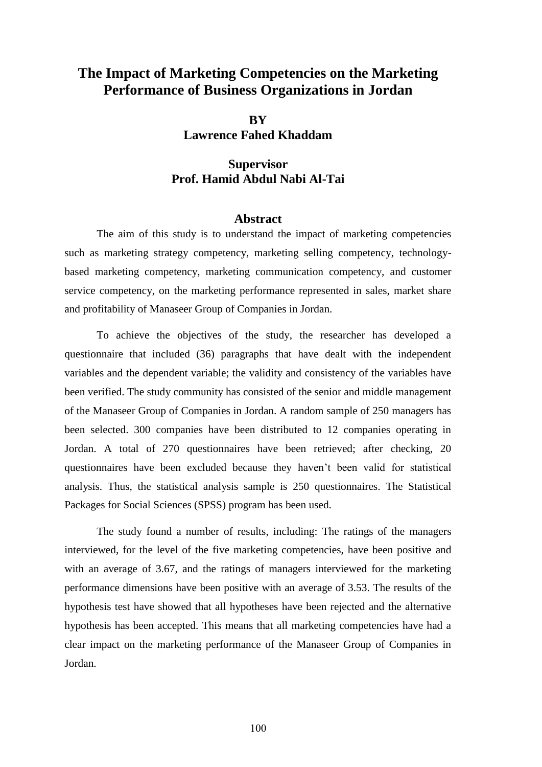## **The Impact of Marketing Competencies on the Marketing Performance of Business Organizations in Jordan**

**BY Lawrence Fahed Khaddam**

## **Supervisor Prof. Hamid Abdul Nabi Al-Tai**

## **Abstract**

The aim of this study is to understand the impact of marketing competencies such as marketing strategy competency, marketing selling competency, technologybased marketing competency, marketing communication competency, and customer service competency, on the marketing performance represented in sales, market share and profitability of Manaseer Group of Companies in Jordan.

To achieve the objectives of the study, the researcher has developed a questionnaire that included (36) paragraphs that have dealt with the independent variables and the dependent variable; the validity and consistency of the variables have been verified. The study community has consisted of the senior and middle management of the Manaseer Group of Companies in Jordan. A random sample of 250 managers has been selected. 300 companies have been distributed to 12 companies operating in Jordan. A total of 270 questionnaires have been retrieved; after checking, 20 questionnaires have been excluded because they haven't been valid for statistical analysis. Thus, the statistical analysis sample is 250 questionnaires. The Statistical Packages for Social Sciences (SPSS) program has been used.

The study found a number of results, including: The ratings of the managers interviewed, for the level of the five marketing competencies, have been positive and with an average of 3.67, and the ratings of managers interviewed for the marketing performance dimensions have been positive with an average of 3.53. The results of the hypothesis test have showed that all hypotheses have been rejected and the alternative hypothesis has been accepted. This means that all marketing competencies have had a clear impact on the marketing performance of the Manaseer Group of Companies in Jordan.